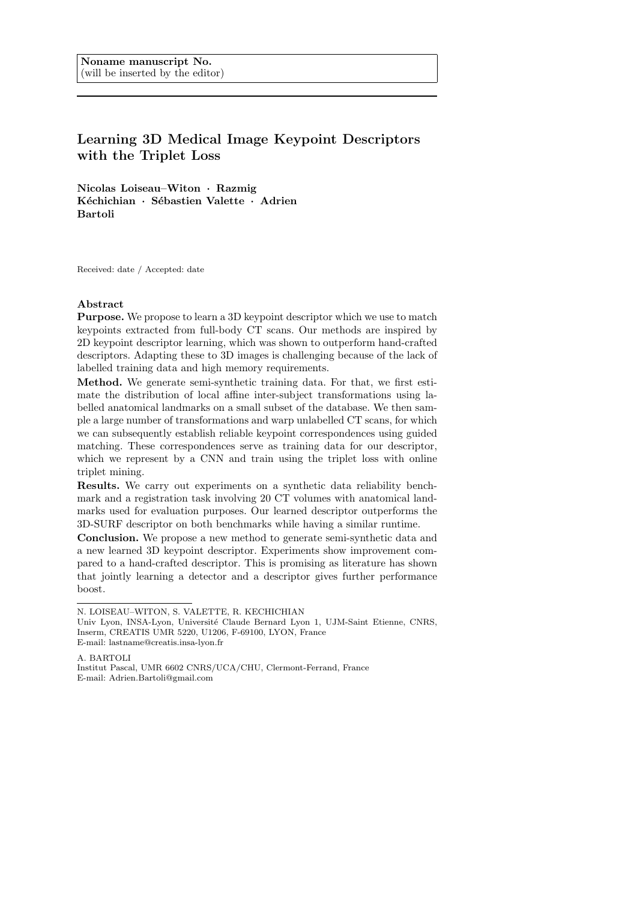# Learning 3D Medical Image Keypoint Descriptors with the Triplet Loss

Nicolas Loiseau–Witon · Razmig Kéchichian · Sébastien Valette · Adrien Bartoli

Received: date / Accepted: date

## Abstract

Purpose. We propose to learn a 3D keypoint descriptor which we use to match keypoints extracted from full-body CT scans. Our methods are inspired by 2D keypoint descriptor learning, which was shown to outperform hand-crafted descriptors. Adapting these to 3D images is challenging because of the lack of labelled training data and high memory requirements.

Method. We generate semi-synthetic training data. For that, we first estimate the distribution of local affine inter-subject transformations using labelled anatomical landmarks on a small subset of the database. We then sample a large number of transformations and warp unlabelled CT scans, for which we can subsequently establish reliable keypoint correspondences using guided matching. These correspondences serve as training data for our descriptor, which we represent by a CNN and train using the triplet loss with online triplet mining.

Results. We carry out experiments on a synthetic data reliability benchmark and a registration task involving 20 CT volumes with anatomical landmarks used for evaluation purposes. Our learned descriptor outperforms the 3D-SURF descriptor on both benchmarks while having a similar runtime.

Conclusion. We propose a new method to generate semi-synthetic data and a new learned 3D keypoint descriptor. Experiments show improvement compared to a hand-crafted descriptor. This is promising as literature has shown that jointly learning a detector and a descriptor gives further performance boost.

A. BARTOLI Institut Pascal, UMR 6602 CNRS/UCA/CHU, Clermont-Ferrand, France E-mail: Adrien.Bartoli@gmail.com

N. LOISEAU–WITON, S. VALETTE, R. KECHICHIAN

Univ Lyon, INSA-Lyon, Université Claude Bernard Lyon 1, UJM-Saint Etienne, CNRS, Inserm, CREATIS UMR 5220, U1206, F-69100, LYON, France E-mail: lastname@creatis.insa-lyon.fr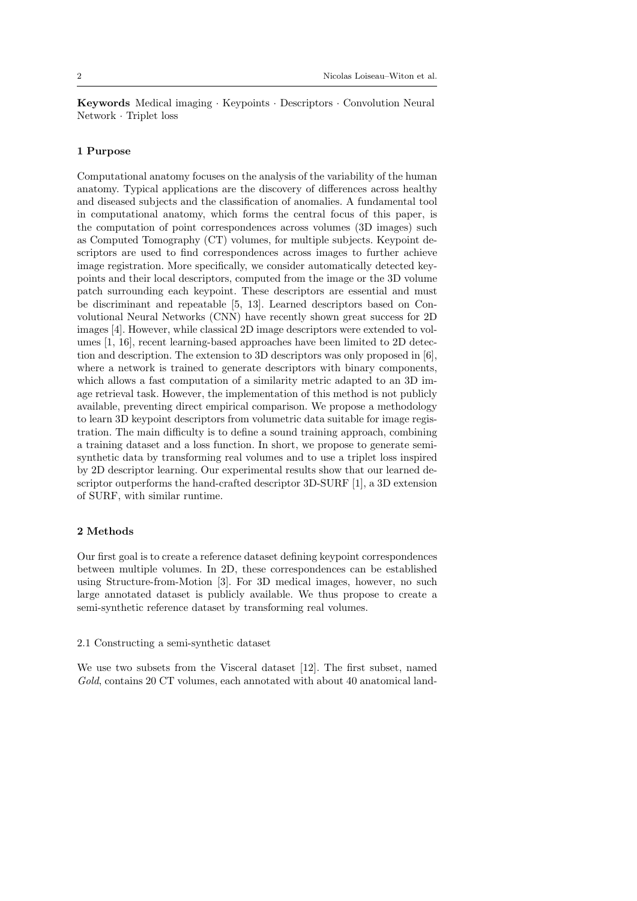Keywords Medical imaging · Keypoints · Descriptors · Convolution Neural Network · Triplet loss

#### 1 Purpose

Computational anatomy focuses on the analysis of the variability of the human anatomy. Typical applications are the discovery of differences across healthy and diseased subjects and the classification of anomalies. A fundamental tool in computational anatomy, which forms the central focus of this paper, is the computation of point correspondences across volumes (3D images) such as Computed Tomography (CT) volumes, for multiple subjects. Keypoint descriptors are used to find correspondences across images to further achieve image registration. More specifically, we consider automatically detected keypoints and their local descriptors, computed from the image or the 3D volume patch surrounding each keypoint. These descriptors are essential and must be discriminant and repeatable [5, 13]. Learned descriptors based on Convolutional Neural Networks (CNN) have recently shown great success for 2D images [4]. However, while classical 2D image descriptors were extended to volumes [1, 16], recent learning-based approaches have been limited to 2D detection and description. The extension to 3D descriptors was only proposed in [6], where a network is trained to generate descriptors with binary components, which allows a fast computation of a similarity metric adapted to an 3D image retrieval task. However, the implementation of this method is not publicly available, preventing direct empirical comparison. We propose a methodology to learn 3D keypoint descriptors from volumetric data suitable for image registration. The main difficulty is to define a sound training approach, combining a training dataset and a loss function. In short, we propose to generate semisynthetic data by transforming real volumes and to use a triplet loss inspired by 2D descriptor learning. Our experimental results show that our learned descriptor outperforms the hand-crafted descriptor 3D-SURF [1], a 3D extension of SURF, with similar runtime.

# 2 Methods

Our first goal is to create a reference dataset defining keypoint correspondences between multiple volumes. In 2D, these correspondences can be established using Structure-from-Motion [3]. For 3D medical images, however, no such large annotated dataset is publicly available. We thus propose to create a semi-synthetic reference dataset by transforming real volumes.

#### 2.1 Constructing a semi-synthetic dataset

We use two subsets from the Visceral dataset [12]. The first subset, named Gold, contains 20 CT volumes, each annotated with about 40 anatomical land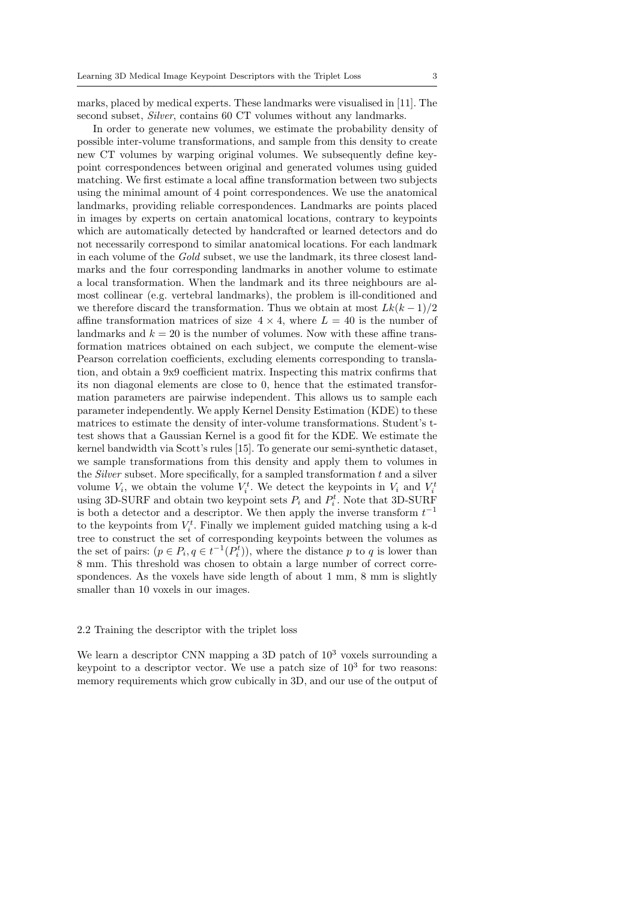marks, placed by medical experts. These landmarks were visualised in [11]. The second subset, *Silver*, contains 60 CT volumes without any landmarks.

In order to generate new volumes, we estimate the probability density of possible inter-volume transformations, and sample from this density to create new CT volumes by warping original volumes. We subsequently define keypoint correspondences between original and generated volumes using guided matching. We first estimate a local affine transformation between two subjects using the minimal amount of 4 point correspondences. We use the anatomical landmarks, providing reliable correspondences. Landmarks are points placed in images by experts on certain anatomical locations, contrary to keypoints which are automatically detected by handcrafted or learned detectors and do not necessarily correspond to similar anatomical locations. For each landmark in each volume of the Gold subset, we use the landmark, its three closest landmarks and the four corresponding landmarks in another volume to estimate a local transformation. When the landmark and its three neighbours are almost collinear (e.g. vertebral landmarks), the problem is ill-conditioned and we therefore discard the transformation. Thus we obtain at most  $Lk(k-1)/2$ affine transformation matrices of size  $4 \times 4$ , where  $L = 40$  is the number of landmarks and  $k = 20$  is the number of volumes. Now with these affine transformation matrices obtained on each subject, we compute the element-wise Pearson correlation coefficients, excluding elements corresponding to translation, and obtain a 9x9 coefficient matrix. Inspecting this matrix confirms that its non diagonal elements are close to 0, hence that the estimated transformation parameters are pairwise independent. This allows us to sample each parameter independently. We apply Kernel Density Estimation (KDE) to these matrices to estimate the density of inter-volume transformations. Student's ttest shows that a Gaussian Kernel is a good fit for the KDE. We estimate the kernel bandwidth via Scott's rules [15]. To generate our semi-synthetic dataset, we sample transformations from this density and apply them to volumes in the *Silver* subset. More specifically, for a sampled transformation  $t$  and a silver volume  $V_i$ , we obtain the volume  $V_i^t$ . We detect the keypoints in  $V_i$  and  $V_i^t$ using 3D-SURF and obtain two keypoint sets  $P_i$  and  $P_i^t$ . Note that 3D-SURF is both a detector and a descriptor. We then apply the inverse transform  $t^{-1}$ to the keypoints from  $V_i^t$ . Finally we implement guided matching using a k-d tree to construct the set of corresponding keypoints between the volumes as the set of pairs:  $(p \in P_i, q \in t^{-1}(P_i^t))$ , where the distance p to q is lower than 8 mm. This threshold was chosen to obtain a large number of correct correspondences. As the voxels have side length of about 1 mm, 8 mm is slightly smaller than 10 voxels in our images.

#### 2.2 Training the descriptor with the triplet loss

We learn a descriptor CNN mapping a 3D patch of  $10^3$  voxels surrounding a keypoint to a descriptor vector. We use a patch size of  $10<sup>3</sup>$  for two reasons: memory requirements which grow cubically in 3D, and our use of the output of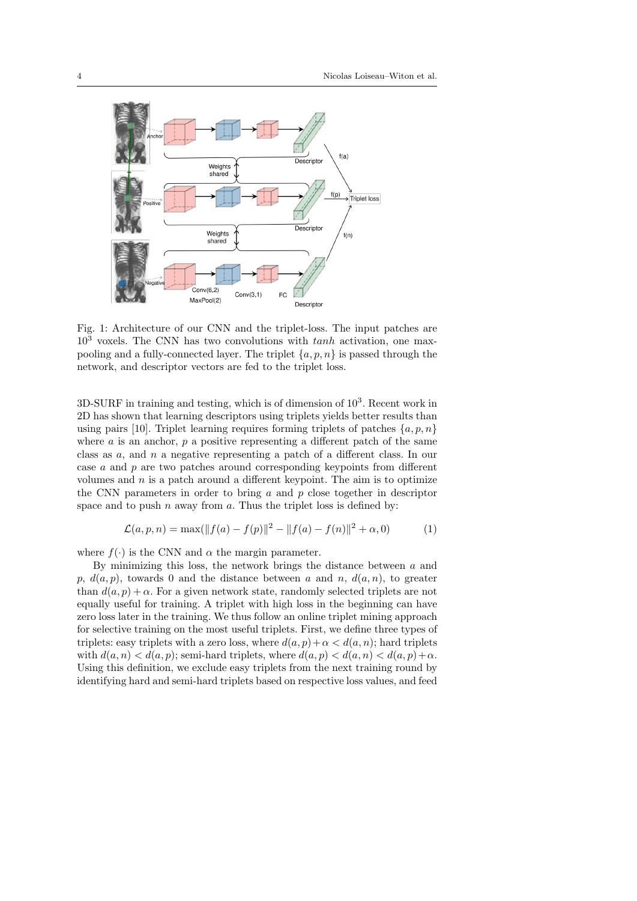

Fig. 1: Architecture of our CNN and the triplet-loss. The input patches are  $10<sup>3</sup>$  voxels. The CNN has two convolutions with  $tanh$  activation, one maxpooling and a fully-connected layer. The triplet  $\{a, p, n\}$  is passed through the network, and descriptor vectors are fed to the triplet loss.

 $3D-SURF$  in training and testing, which is of dimension of  $10<sup>3</sup>$ . Recent work in 2D has shown that learning descriptors using triplets yields better results than using pairs [10]. Triplet learning requires forming triplets of patches  $\{a, p, n\}$ where  $\alpha$  is an anchor,  $p$  a positive representing a different patch of the same class as a, and n a negative representing a patch of a different class. In our case a and p are two patches around corresponding keypoints from different volumes and  $n$  is a patch around a different keypoint. The aim is to optimize the CNN parameters in order to bring  $a$  and  $p$  close together in descriptor space and to push  $n$  away from  $a$ . Thus the triplet loss is defined by:

$$
\mathcal{L}(a, p, n) = \max(||f(a) - f(p)||^2 - ||f(a) - f(n)||^2 + \alpha, 0)
$$
 (1)

where  $f(\cdot)$  is the CNN and  $\alpha$  the margin parameter.

By minimizing this loss, the network brings the distance between  $a$  and p,  $d(a, p)$ , towards 0 and the distance between a and n,  $d(a, n)$ , to greater than  $d(a, p) + \alpha$ . For a given network state, randomly selected triplets are not equally useful for training. A triplet with high loss in the beginning can have zero loss later in the training. We thus follow an online triplet mining approach for selective training on the most useful triplets. First, we define three types of triplets: easy triplets with a zero loss, where  $d(a, p) + \alpha < d(a, n)$ ; hard triplets with  $d(a, n) < d(a, p)$ ; semi-hard triplets, where  $d(a, p) < d(a, n) < d(a, p) + \alpha$ . Using this definition, we exclude easy triplets from the next training round by identifying hard and semi-hard triplets based on respective loss values, and feed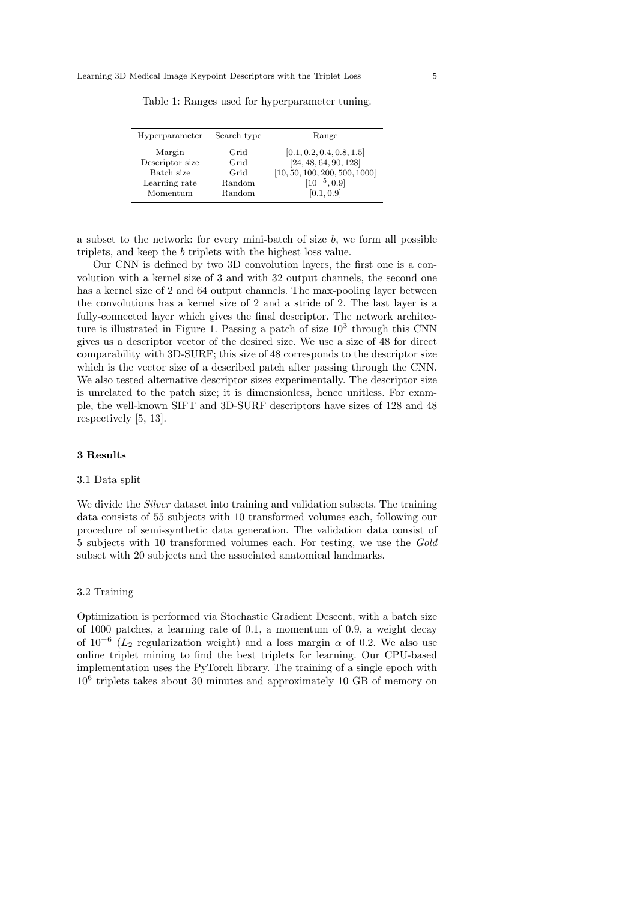| Hyperparameter  | Search type | Range                         |  |
|-----------------|-------------|-------------------------------|--|
| Margin          | Grid        | [0.1, 0.2, 0.4, 0.8, 1.5]     |  |
| Descriptor size | Grid        | [24, 48, 64, 90, 128]         |  |
| Batch size      | Grid        | [10, 50, 100, 200, 500, 1000] |  |
| Learning rate   | Random      | $[10^{-5}, 0.9]$              |  |
| Momentum        | Random      | [0.1, 0.9]                    |  |

Table 1: Ranges used for hyperparameter tuning.

a subset to the network: for every mini-batch of size  $b$ , we form all possible triplets, and keep the b triplets with the highest loss value.

Our CNN is defined by two 3D convolution layers, the first one is a convolution with a kernel size of 3 and with 32 output channels, the second one has a kernel size of 2 and 64 output channels. The max-pooling layer between the convolutions has a kernel size of 2 and a stride of 2. The last layer is a fully-connected layer which gives the final descriptor. The network architecture is illustrated in Figure 1. Passing a patch of size  $10^3$  through this CNN gives us a descriptor vector of the desired size. We use a size of 48 for direct comparability with 3D-SURF; this size of 48 corresponds to the descriptor size which is the vector size of a described patch after passing through the CNN. We also tested alternative descriptor sizes experimentally. The descriptor size is unrelated to the patch size; it is dimensionless, hence unitless. For example, the well-known SIFT and 3D-SURF descriptors have sizes of 128 and 48 respectively [5, 13].

#### 3 Results

#### 3.1 Data split

We divide the *Silver* dataset into training and validation subsets. The training data consists of 55 subjects with 10 transformed volumes each, following our procedure of semi-synthetic data generation. The validation data consist of 5 subjects with 10 transformed volumes each. For testing, we use the Gold subset with 20 subjects and the associated anatomical landmarks.

#### 3.2 Training

Optimization is performed via Stochastic Gradient Descent, with a batch size of 1000 patches, a learning rate of 0.1, a momentum of 0.9, a weight decay of  $10^{-6}$  ( $L_2$  regularization weight) and a loss margin  $\alpha$  of 0.2. We also use online triplet mining to find the best triplets for learning. Our CPU-based implementation uses the PyTorch library. The training of a single epoch with 10<sup>6</sup> triplets takes about 30 minutes and approximately 10 GB of memory on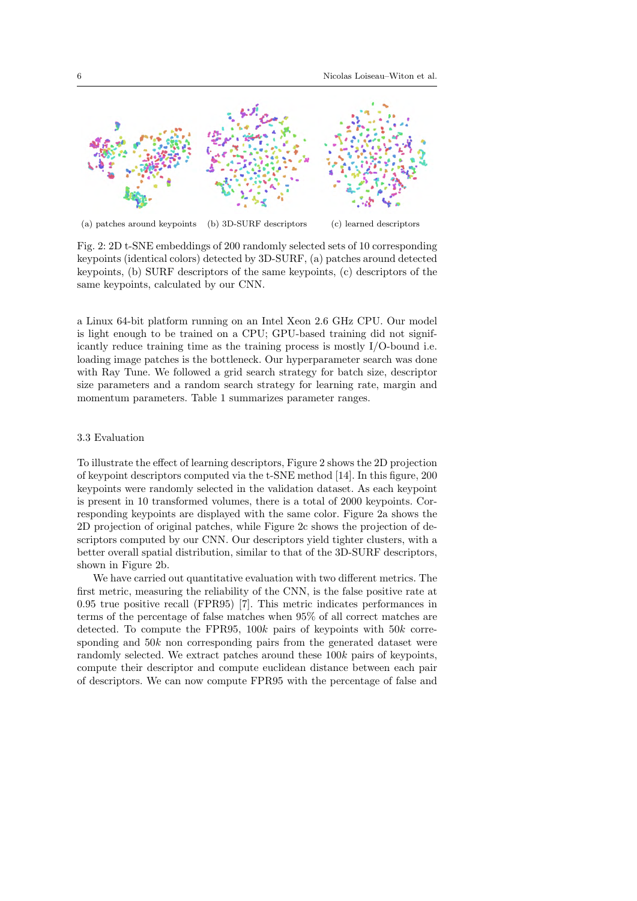

(a) patches around keypoints (b) 3D-SURF descriptors (c) learned descriptors

Fig. 2: 2D t-SNE embeddings of 200 randomly selected sets of 10 corresponding keypoints (identical colors) detected by 3D-SURF, (a) patches around detected keypoints, (b) SURF descriptors of the same keypoints, (c) descriptors of the same keypoints, calculated by our CNN.

a Linux 64-bit platform running on an Intel Xeon 2.6 GHz CPU. Our model is light enough to be trained on a CPU; GPU-based training did not significantly reduce training time as the training process is mostly I/O-bound i.e. loading image patches is the bottleneck. Our hyperparameter search was done with Ray Tune. We followed a grid search strategy for batch size, descriptor size parameters and a random search strategy for learning rate, margin and momentum parameters. Table 1 summarizes parameter ranges.

## 3.3 Evaluation

To illustrate the effect of learning descriptors, Figure 2 shows the 2D projection of keypoint descriptors computed via the t-SNE method [14]. In this figure, 200 keypoints were randomly selected in the validation dataset. As each keypoint is present in 10 transformed volumes, there is a total of 2000 keypoints. Corresponding keypoints are displayed with the same color. Figure 2a shows the 2D projection of original patches, while Figure 2c shows the projection of descriptors computed by our CNN. Our descriptors yield tighter clusters, with a better overall spatial distribution, similar to that of the 3D-SURF descriptors, shown in Figure 2b.

We have carried out quantitative evaluation with two different metrics. The first metric, measuring the reliability of the CNN, is the false positive rate at 0.95 true positive recall (FPR95) [7]. This metric indicates performances in terms of the percentage of false matches when 95% of all correct matches are detected. To compute the FPR95,  $100k$  pairs of keypoints with  $50k$  corresponding and  $50k$  non corresponding pairs from the generated dataset were randomly selected. We extract patches around these  $100k$  pairs of keypoints, compute their descriptor and compute euclidean distance between each pair of descriptors. We can now compute FPR95 with the percentage of false and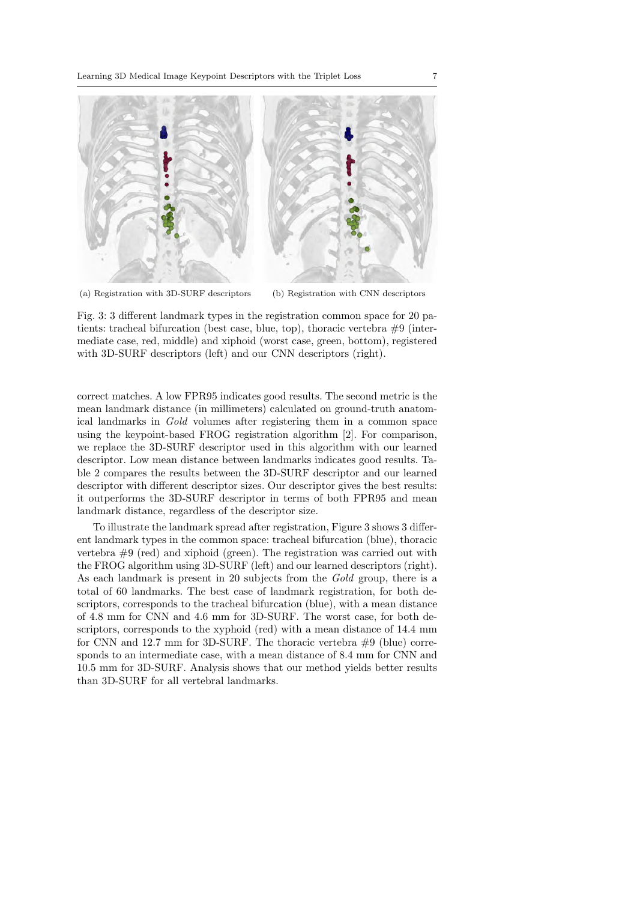

(a) Registration with 3D-SURF descriptors (b) Registration with CNN descriptors

Fig. 3: 3 different landmark types in the registration common space for 20 patients: tracheal bifurcation (best case, blue, top), thoracic vertebra #9 (intermediate case, red, middle) and xiphoid (worst case, green, bottom), registered with 3D-SURF descriptors (left) and our CNN descriptors (right).

correct matches. A low FPR95 indicates good results. The second metric is the mean landmark distance (in millimeters) calculated on ground-truth anatomical landmarks in Gold volumes after registering them in a common space using the keypoint-based FROG registration algorithm [2]. For comparison, we replace the 3D-SURF descriptor used in this algorithm with our learned descriptor. Low mean distance between landmarks indicates good results. Table 2 compares the results between the 3D-SURF descriptor and our learned descriptor with different descriptor sizes. Our descriptor gives the best results: it outperforms the 3D-SURF descriptor in terms of both FPR95 and mean landmark distance, regardless of the descriptor size.

To illustrate the landmark spread after registration, Figure 3 shows 3 different landmark types in the common space: tracheal bifurcation (blue), thoracic vertebra  $\#9$  (red) and xiphoid (green). The registration was carried out with the FROG algorithm using 3D-SURF (left) and our learned descriptors (right). As each landmark is present in 20 subjects from the Gold group, there is a total of 60 landmarks. The best case of landmark registration, for both descriptors, corresponds to the tracheal bifurcation (blue), with a mean distance of 4.8 mm for CNN and 4.6 mm for 3D-SURF. The worst case, for both descriptors, corresponds to the xyphoid (red) with a mean distance of 14.4 mm for CNN and 12.7 mm for 3D-SURF. The thoracic vertebra #9 (blue) corresponds to an intermediate case, with a mean distance of 8.4 mm for CNN and 10.5 mm for 3D-SURF. Analysis shows that our method yields better results than 3D-SURF for all vertebral landmarks.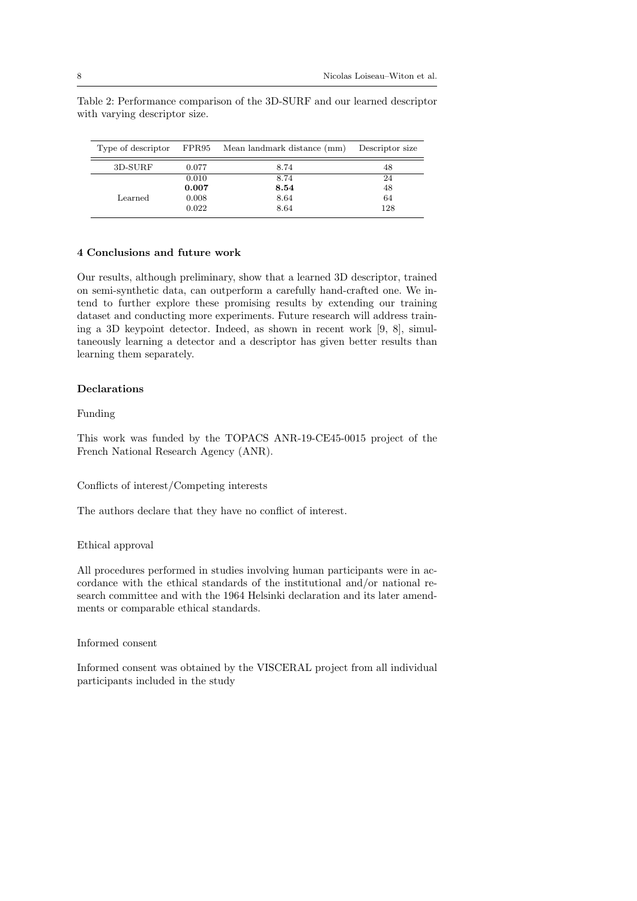|         |       | Type of descriptor FPR95 Mean landmark distance (mm) | Descriptor size |
|---------|-------|------------------------------------------------------|-----------------|
| 3D-SURF | 0.077 | 8.74                                                 | 48              |
| Learned | 0.010 | 8.74                                                 | 24              |
|         | 0.007 | 8.54                                                 | 48              |
|         | 0.008 | 8.64                                                 | 64              |
|         | 0.022 | 8.64                                                 | 128             |

Table 2: Performance comparison of the 3D-SURF and our learned descriptor with varying descriptor size.

## 4 Conclusions and future work

Our results, although preliminary, show that a learned 3D descriptor, trained on semi-synthetic data, can outperform a carefully hand-crafted one. We intend to further explore these promising results by extending our training dataset and conducting more experiments. Future research will address training a 3D keypoint detector. Indeed, as shown in recent work [9, 8], simultaneously learning a detector and a descriptor has given better results than learning them separately.

# Declarations

## Funding

This work was funded by the TOPACS ANR-19-CE45-0015 project of the French National Research Agency (ANR).

## Conflicts of interest/Competing interests

The authors declare that they have no conflict of interest.

## Ethical approval

All procedures performed in studies involving human participants were in accordance with the ethical standards of the institutional and/or national research committee and with the 1964 Helsinki declaration and its later amendments or comparable ethical standards.

# Informed consent

Informed consent was obtained by the VISCERAL project from all individual participants included in the study